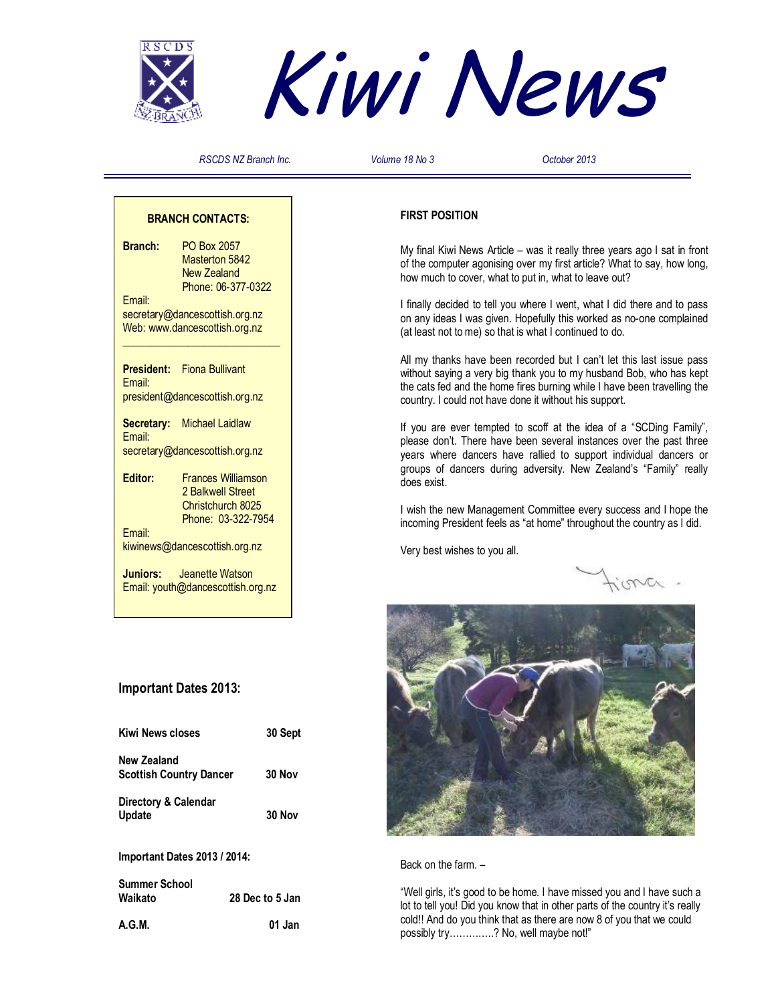



*RSCDS NZ Branch Inc. Volume 18 No 3 October 2013* 

# **BRANCH CONTACTS:**

**Branch:** PO Box 2057 Masterton 5842 New Zealand Phone: 06-377-0322 Email: secretary@dancescottish.org.nz Web: www.dancescottish.org.nz **\_\_\_\_\_\_\_\_\_\_\_\_\_\_\_\_\_\_\_\_\_\_\_\_\_\_\_\_\_ President:** Fiona Bullivant Email: president@dancescottish.org.nz **Secretary:** Michael Laidlaw Email: secretary@dancescottish.org.nz

**Editor:** Frances Williamson 2 Balkwell Street Christchurch 8025 Phone: 03-322-7954 Email:

kiwinews@dancescottish.org.nz

**Juniors:** Jeanette Watson Email: youth@dancescottish.org.nz

# **Important Dates 2013:**

| <b>Kiwi News closes</b>                       | 30 Sept |
|-----------------------------------------------|---------|
| New Zealand<br><b>Scottish Country Dancer</b> | 30 Nov  |
| Directory & Calendar<br><b>Update</b>         | 30 Nov  |

**Important Dates 2013 / 2014:** 

**Summer School**  28 Dec to 5 Jan

**A.G.M. 01 Jan** 

# **FIRST POSITION**

My final Kiwi News Article – was it really three years ago I sat in front of the computer agonising over my first article? What to say, how long, how much to cover, what to put in, what to leave out?

I finally decided to tell you where I went, what I did there and to pass on any ideas I was given. Hopefully this worked as no-one complained (at least not to me) so that is what I continued to do.

All my thanks have been recorded but I can't let this last issue pass without saying a very big thank you to my husband Bob, who has kept the cats fed and the home fires burning while I have been travelling the country. I could not have done it without his support.

If you are ever tempted to scoff at the idea of a "SCDing Family", please don't. There have been several instances over the past three years where dancers have rallied to support individual dancers or groups of dancers during adversity. New Zealand's "Family" really does exist.

I wish the new Management Committee every success and I hope the incoming President feels as "at home" throughout the country as I did.

Very best wishes to you all.



Back on the farm. –

"Well girls, it's good to be home. I have missed you and I have such a lot to tell you! Did you know that in other parts of the country it's really cold!! And do you think that as there are now 8 of you that we could possibly try…………..? No, well maybe not!"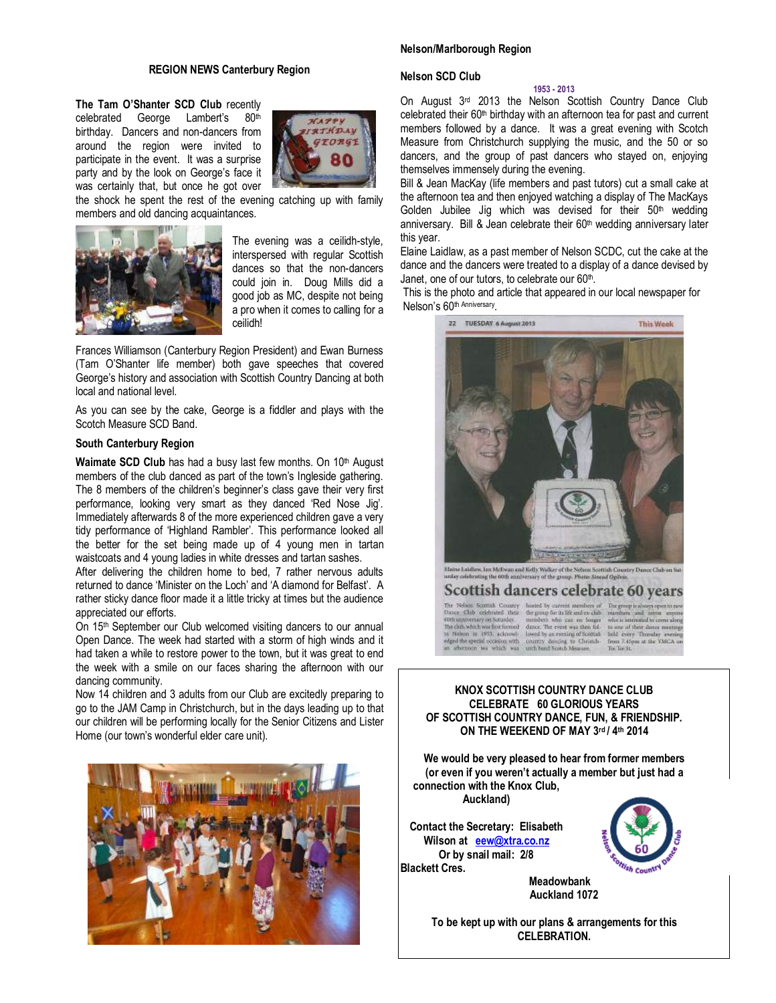#### **REGION NEWS Canterbury Region**

**The Tam O'Shanter SCD Club** recently celebrated George Lambert's 80th birthday. Dancers and non-dancers from around the region were invited to participate in the event. It was a surprise party and by the look on George's face it was certainly that, but once he got over



the shock he spent the rest of the evening catching up with family members and old dancing acquaintances.



The evening was a ceilidh-style, interspersed with regular Scottish dances so that the non-dancers could join in. Doug Mills did a good job as MC, despite not being a pro when it comes to calling for a ceilidh!

Frances Williamson (Canterbury Region President) and Ewan Burness (Tam O'Shanter life member) both gave speeches that covered George's history and association with Scottish Country Dancing at both local and national level.

As you can see by the cake, George is a fiddler and plays with the Scotch Measure SCD Band.

## **South Canterbury Region**

Waimate SCD Club has had a busy last few months. On 10<sup>th</sup> August members of the club danced as part of the town's Ingleside gathering. The 8 members of the children's beginner's class gave their very first performance, looking very smart as they danced 'Red Nose Jig'. Immediately afterwards 8 of the more experienced children gave a very tidy performance of 'Highland Rambler'. This performance looked all the better for the set being made up of 4 young men in tartan waistcoats and 4 young ladies in white dresses and tartan sashes.

After delivering the children home to bed, 7 rather nervous adults returned to dance 'Minister on the Loch' and 'A diamond for Belfast'. A rather sticky dance floor made it a little tricky at times but the audience appreciated our efforts.

On 15th September our Club welcomed visiting dancers to our annual Open Dance. The week had started with a storm of high winds and it had taken a while to restore power to the town, but it was great to end the week with a smile on our faces sharing the afternoon with our dancing community.

Now 14 children and 3 adults from our Club are excitedly preparing to go to the JAM Camp in Christchurch, but in the days leading up to that our children will be performing locally for the Senior Citizens and Lister Home (our town's wonderful elder care unit).



# **Nelson/Marlborough Region**

#### **Nelson SCD Club**

#### **1953 - 2013**

On August 3rd 2013 the Nelson Scottish Country Dance Club celebrated their 60<sup>th</sup> birthday with an afternoon tea for past and current members followed by a dance. It was a great evening with Scotch Measure from Christchurch supplying the music, and the 50 or so dancers, and the group of past dancers who stayed on, enjoying themselves immensely during the evening.

Bill & Jean MacKay (life members and past tutors) cut a small cake at the afternoon tea and then enjoyed watching a display of The MacKays Golden Jubilee Jig which was devised for their  $50<sup>th</sup>$  wedding anniversary. Bill & Jean celebrate their 60<sup>th</sup> wedding anniversary later this year.

Elaine Laidlaw, as a past member of Nelson SCDC, cut the cake at the dance and the dancers were treated to a display of a dance devised by Janet, one of our tutors, to celebrate our 60<sup>th</sup>.

This is the photo and article that appeared in our local newspaper for Nelson's 60<sup>th Anniversary</sup>.



.<br>Haine Laidlow, Ian McDwan and Kelly Walker of the Nelson Soutish Country Dance Club on Sat<br>unlay colebrating the 60th anniversary of the group. Photo: Sixeod Ogibric. Scottish dancers celebrate 60 years

The Nelson Scottish Country hosted by current members of<br>Dance Club celebrated their the group for its life and ex-club

For a solution of the state of the state of the state of the state of the data shall in the state of the state of the state of the state of the state of the state of the state of the state of the state of the state of the

The group is always who is interested to come alon who is interested to come<br>to one of their disnes m<br>held levery. Thursday<br>from 2.45pm at the YM<br>To Tooks

# **KNOX SCOTTISH COUNTRY DANCE CLUB CELEBRATE 60 GLORIOUS YEARS OF SCOTTISH COUNTRY DANCE, FUN, & FRIENDSHIP. ON THE WEEKEND OF MAY 3rd / 4th 2014**

**We would be very pleased to hear from former members (or even if you weren't actually a member but just had a connection with the Knox Club, Auckland)** 

**Contact the Secretary: Elisabeth Wilson at eew@xtra.co.nz Or by snail mail: 2/8 Blackett Cres.** 



 **Meadowbank Auckland 1072** 

**To be kept up with our plans & arrangements for this CELEBRATION.**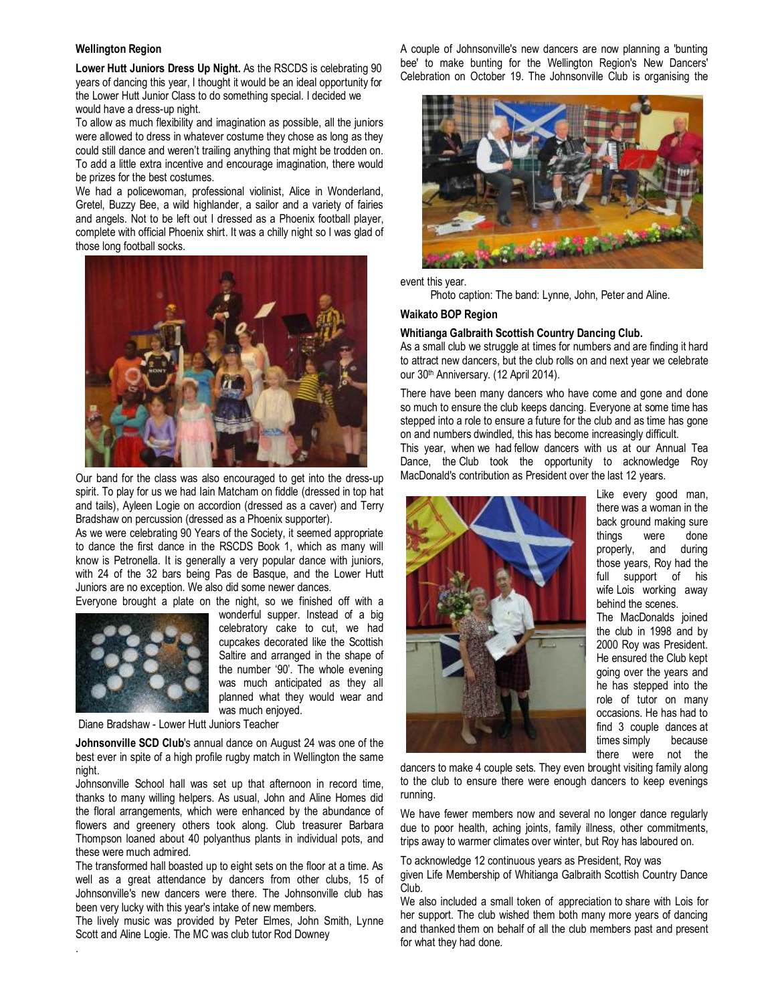#### **Wellington Region**

**Lower Hutt Juniors Dress Up Night.** As the RSCDS is celebrating 90 years of dancing this year, I thought it would be an ideal opportunity for the Lower Hutt Junior Class to do something special. I decided we would have a dress-up night.

To allow as much flexibility and imagination as possible, all the juniors were allowed to dress in whatever costume they chose as long as they could still dance and weren't trailing anything that might be trodden on. To add a little extra incentive and encourage imagination, there would be prizes for the best costumes.

We had a policewoman, professional violinist, Alice in Wonderland, Gretel, Buzzy Bee, a wild highlander, a sailor and a variety of fairies and angels. Not to be left out I dressed as a Phoenix football player, complete with official Phoenix shirt. It was a chilly night so I was glad of those long football socks.



Our band for the class was also encouraged to get into the dress-up spirit. To play for us we had Iain Matcham on fiddle (dressed in top hat and tails), Ayleen Logie on accordion (dressed as a caver) and Terry Bradshaw on percussion (dressed as a Phoenix supporter).

As we were celebrating 90 Years of the Society, it seemed appropriate to dance the first dance in the RSCDS Book 1, which as many will know is Petronella. It is generally a very popular dance with juniors, with 24 of the 32 bars being Pas de Basque, and the Lower Hutt Juniors are no exception. We also did some newer dances.



.

Everyone brought a plate on the night, so we finished off with a wonderful supper. Instead of a big celebratory cake to cut, we had cupcakes decorated like the Scottish Saltire and arranged in the shape of the number '90'. The whole evening was much anticipated as they all planned what they would wear and was much enjoyed.

Diane Bradshaw - Lower Hutt Juniors Teacher

**Johnsonville SCD Club**'s annual dance on August 24 was one of the best ever in spite of a high profile rugby match in Wellington the same night.

Johnsonville School hall was set up that afternoon in record time, thanks to many willing helpers. As usual, John and Aline Homes did the floral arrangements, which were enhanced by the abundance of flowers and greenery others took along. Club treasurer Barbara Thompson loaned about 40 polyanthus plants in individual pots, and these were much admired.

The transformed hall boasted up to eight sets on the floor at a time. As well as a great attendance by dancers from other clubs, 15 of Johnsonville's new dancers were there. The Johnsonville club has been very lucky with this year's intake of new members.

The lively music was provided by Peter Elmes, John Smith, Lynne Scott and Aline Logie. The MC was club tutor Rod Downey

A couple of Johnsonville's new dancers are now planning a 'bunting bee' to make bunting for the Wellington Region's New Dancers' Celebration on October 19. The Johnsonville Club is organising the



event this year.

Photo caption: The band: Lynne, John, Peter and Aline.

# **Waikato BOP Region**

#### **Whitianga Galbraith Scottish Country Dancing Club.**

As a small club we struggle at times for numbers and are finding it hard to attract new dancers, but the club rolls on and next year we celebrate our 30th Anniversary. (12 April 2014).

There have been many dancers who have come and gone and done so much to ensure the club keeps dancing. Everyone at some time has stepped into a role to ensure a future for the club and as time has gone on and numbers dwindled, this has become increasingly difficult.

This year, when we had fellow dancers with us at our Annual Tea Dance, the Club took the opportunity to acknowledge Roy MacDonald's contribution as President over the last 12 years.



Like every good man, there was a woman in the back ground making sure things were done properly, and during those years, Roy had the full support of his wife Lois working away behind the scenes. The MacDonalds joined the club in 1998 and by 2000 Roy was President. He ensured the Club kept going over the years and he has stepped into the role of tutor on many occasions. He has had to find 3 couple dances at times simply because there were not the

dancers to make 4 couple sets. They even brought visiting family along to the club to ensure there were enough dancers to keep evenings running.

We have fewer members now and several no longer dance regularly due to poor health, aching joints, family illness, other commitments, trips away to warmer climates over winter, but Roy has laboured on.

To acknowledge 12 continuous years as President, Roy was given Life Membership of Whitianga Galbraith Scottish Country Dance Club.

We also included a small token of appreciation to share with Lois for her support. The club wished them both many more years of dancing and thanked them on behalf of all the club members past and present for what they had done.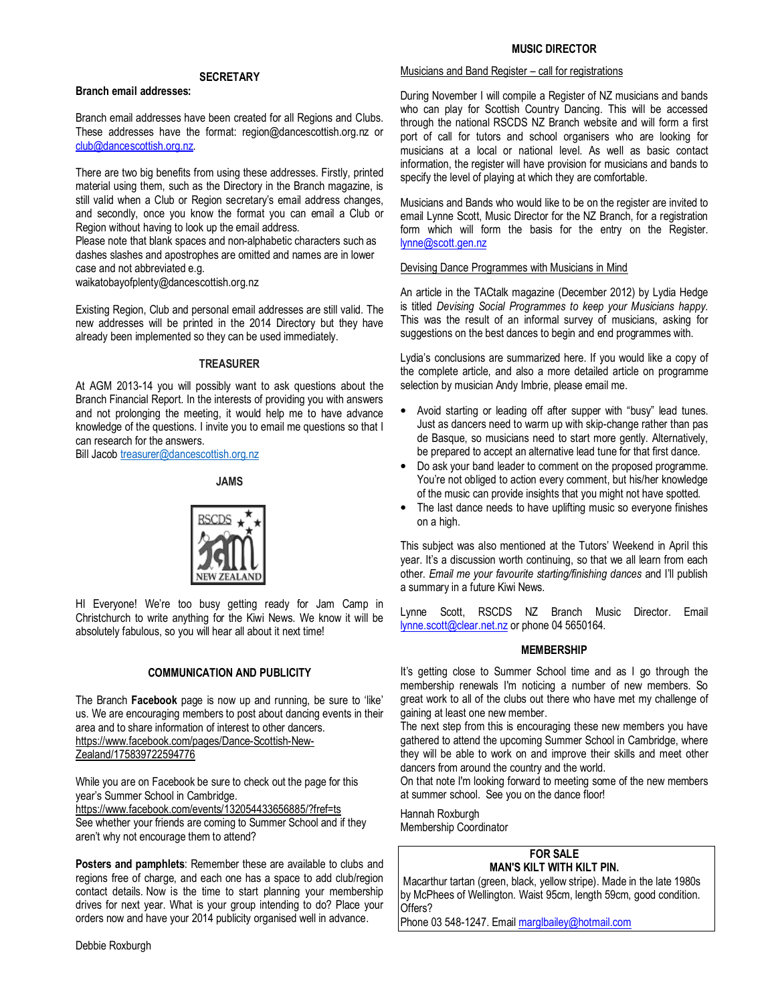# **MUSIC DIRECTOR**

# **SECRETARY**

# **Branch email addresses:**

Branch email addresses have been created for all Regions and Clubs. These addresses have the format: region@dancescottish.org.nz or club@dancescottish.org.nz.

There are two big benefits from using these addresses. Firstly, printed material using them, such as the Directory in the Branch magazine, is still valid when a Club or Region secretary's email address changes, and secondly, once you know the format you can email a Club or Region without having to look up the email address.

Please note that blank spaces and non-alphabetic characters such as dashes slashes and apostrophes are omitted and names are in lower case and not abbreviated e.g.

waikatobayofplenty@dancescottish.org.nz

Existing Region, Club and personal email addresses are still valid. The new addresses will be printed in the 2014 Directory but they have already been implemented so they can be used immediately.

# **TREASURER**

At AGM 2013-14 you will possibly want to ask questions about the Branch Financial Report. In the interests of providing you with answers and not prolonging the meeting, it would help me to have advance knowledge of the questions. I invite you to email me questions so that I can research for the answers.

Bill Jacob treasurer@dancescottish.org.nz

# **JAMS**



HI Everyone! We're too busy getting ready for Jam Camp in Christchurch to write anything for the Kiwi News. We know it will be absolutely fabulous, so you will hear all about it next time!

# **COMMUNICATION AND PUBLICITY**

The Branch **Facebook** page is now up and running, be sure to 'like' us. We are encouraging members to post about dancing events in their area and to share information of interest to other dancers. https://www.facebook.com/pages/Dance-Scottish-New-

Zealand/175839722594776

While you are on Facebook be sure to check out the page for this year's Summer School in Cambridge.

https://www.facebook.com/events/132054433656885/?fref=ts See whether your friends are coming to Summer School and if they aren't why not encourage them to attend?

**Posters and pamphlets**: Remember these are available to clubs and regions free of charge, and each one has a space to add club/region contact details. Now is the time to start planning your membership drives for next year. What is your group intending to do? Place your orders now and have your 2014 publicity organised well in advance.

Debbie Roxburgh

# Musicians and Band Register – call for registrations

During November I will compile a Register of NZ musicians and bands who can play for Scottish Country Dancing. This will be accessed through the national RSCDS NZ Branch website and will form a first port of call for tutors and school organisers who are looking for musicians at a local or national level. As well as basic contact information, the register will have provision for musicians and bands to specify the level of playing at which they are comfortable.

Musicians and Bands who would like to be on the register are invited to email Lynne Scott, Music Director for the NZ Branch, for a registration form which will form the basis for the entry on the Register. lynne@scott.gen.nz

# Devising Dance Programmes with Musicians in Mind

An article in the TACtalk magazine (December 2012) by Lydia Hedge is titled *Devising Social Programmes to keep your Musicians happy.*  This was the result of an informal survey of musicians, asking for suggestions on the best dances to begin and end programmes with.

Lydia's conclusions are summarized here. If you would like a copy of the complete article, and also a more detailed article on programme selection by musician Andy Imbrie, please email me.

- Avoid starting or leading off after supper with "busy" lead tunes. Just as dancers need to warm up with skip-change rather than pas de Basque, so musicians need to start more gently. Alternatively, be prepared to accept an alternative lead tune for that first dance.
- Do ask your band leader to comment on the proposed programme. You're not obliged to action every comment, but his/her knowledge of the music can provide insights that you might not have spotted.
- The last dance needs to have uplifting music so everyone finishes on a high.

This subject was also mentioned at the Tutors' Weekend in April this year. It's a discussion worth continuing, so that we all learn from each other. *Email me your favourite starting/finishing dances* and I'll publish a summary in a future Kiwi News.

Lynne Scott, RSCDS NZ Branch Music Director. Email lynne.scott@clear.net.nz or phone 04 5650164.

# **MEMBERSHIP**

It's getting close to Summer School time and as I go through the membership renewals I'm noticing a number of new members. So great work to all of the clubs out there who have met my challenge of gaining at least one new member.

The next step from this is encouraging these new members you have gathered to attend the upcoming Summer School in Cambridge, where they will be able to work on and improve their skills and meet other dancers from around the country and the world.

On that note I'm looking forward to meeting some of the new members at summer school. See you on the dance floor!

Hannah Roxburgh Membership Coordinator

# **FOR SALE MAN'S KILT WITH KILT PIN.**

 Macarthur tartan (green, black, yellow stripe). Made in the late 1980s by McPhees of Wellington. Waist 95cm, length 59cm, good condition. Offers?

Phone 03 548-1247. Email marglbailey@hotmail.com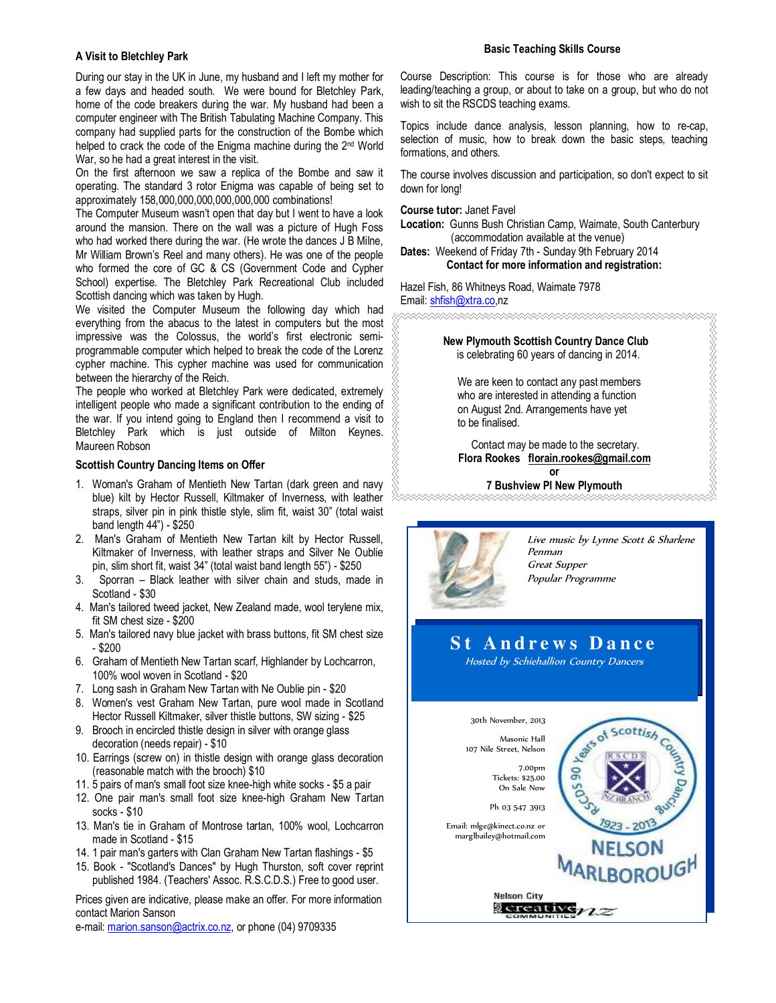## **A Visit to Bletchley Park**

During our stay in the UK in June, my husband and I left my mother for a few days and headed south. We were bound for Bletchley Park, home of the code breakers during the war. My husband had been a computer engineer with The British Tabulating Machine Company. This company had supplied parts for the construction of the Bombe which helped to crack the code of the Enigma machine during the 2<sup>nd</sup> World War, so he had a great interest in the visit.

On the first afternoon we saw a replica of the Bombe and saw it operating. The standard 3 rotor Enigma was capable of being set to approximately 158,000,000,000,000,000,000 combinations!

The Computer Museum wasn't open that day but I went to have a look around the mansion. There on the wall was a picture of Hugh Foss who had worked there during the war. (He wrote the dances J B Milne, Mr William Brown's Reel and many others). He was one of the people who formed the core of GC & CS (Government Code and Cypher School) expertise. The Bletchley Park Recreational Club included Scottish dancing which was taken by Hugh.

We visited the Computer Museum the following day which had everything from the abacus to the latest in computers but the most impressive was the Colossus, the world's first electronic semiprogrammable computer which helped to break the code of the Lorenz cypher machine. This cypher machine was used for communication between the hierarchy of the Reich.

The people who worked at Bletchley Park were dedicated, extremely intelligent people who made a significant contribution to the ending of the war. If you intend going to England then I recommend a visit to Bletchley Park which is just outside of Milton Keynes. Maureen Robson

#### **Scottish Country Dancing Items on Offer**

- 1. Woman's Graham of Mentieth New Tartan (dark green and navy blue) kilt by Hector Russell, Kiltmaker of Inverness, with leather straps, silver pin in pink thistle style, slim fit, waist 30" (total waist band length 44") - \$250
- 2. Man's Graham of Mentieth New Tartan kilt by Hector Russell, Kiltmaker of Inverness, with leather straps and Silver Ne Oublie pin, slim short fit, waist 34" (total waist band length 55") - \$250
- 3. Sporran Black leather with silver chain and studs, made in Scotland - \$30
- 4. Man's tailored tweed jacket, New Zealand made, wool terylene mix, fit SM chest size - \$200
- 5. Man's tailored navy blue jacket with brass buttons, fit SM chest size - \$200
- 6. Graham of Mentieth New Tartan scarf, Highlander by Lochcarron, 100% wool woven in Scotland - \$20
- 7. Long sash in Graham New Tartan with Ne Oublie pin \$20
- 8. Women's vest Graham New Tartan, pure wool made in Scotland Hector Russell Kiltmaker, silver thistle buttons, SW sizing - \$25
- 9. Brooch in encircled thistle design in silver with orange glass decoration (needs repair) - \$10
- 10. Earrings (screw on) in thistle design with orange glass decoration (reasonable match with the brooch) \$10
- 11. 5 pairs of man's small foot size knee-high white socks \$5 a pair
- 12. One pair man's small foot size knee-high Graham New Tartan socks - \$10
- 13. Man's tie in Graham of Montrose tartan, 100% wool, Lochcarron made in Scotland - \$15
- 14. 1 pair man's garters with Clan Graham New Tartan flashings \$5
- 15. Book "Scotland's Dances" by Hugh Thurston, soft cover reprint published 1984. (Teachers' Assoc. R.S.C.D.S.) Free to good user.

Prices given are indicative, please make an offer. For more information contact Marion Sanson

e-mail: marion.sanson@actrix.co.nz, or phone (04) 9709335

## **Basic Teaching Skills Course**

Course Description: This course is for those who are already leading/teaching a group, or about to take on a group, but who do not wish to sit the RSCDS teaching exams.

Topics include dance analysis, lesson planning, how to re-cap, selection of music, how to break down the basic steps, teaching formations, and others.

The course involves discussion and participation, so don't expect to sit down for long!

#### **Course tutor:** Janet Favel

**Location:** Gunns Bush Christian Camp, Waimate, South Canterbury (accommodation available at the venue)

**Dates:** Weekend of Friday 7th - Sunday 9th February 2014 **Contact for more information and registration:** 

Hazel Fish, 86 Whitneys Road, Waimate 7978 Email: shfish@xtra.co,nz

> **New Plymouth Scottish Country Dance Club**  is celebrating 60 years of dancing in 2014.

 We are keen to contact any past members who are interested in attending a function on August 2nd. Arrangements have yet to be finalised.

 Contact may be made to the secretary. **Flora Rookes florain.rookes@gmail.com or** 

**7 Bushview Pl New Plymouth** 



Live music by Lynne Scott & Sharlene Penman Great Supper Popular Programme

REAREN ARTHRONOMIA (PARTICIPATION)

# **S t A n d r e w s D a n c e**

Hosted by Schiehallion Country Dancers

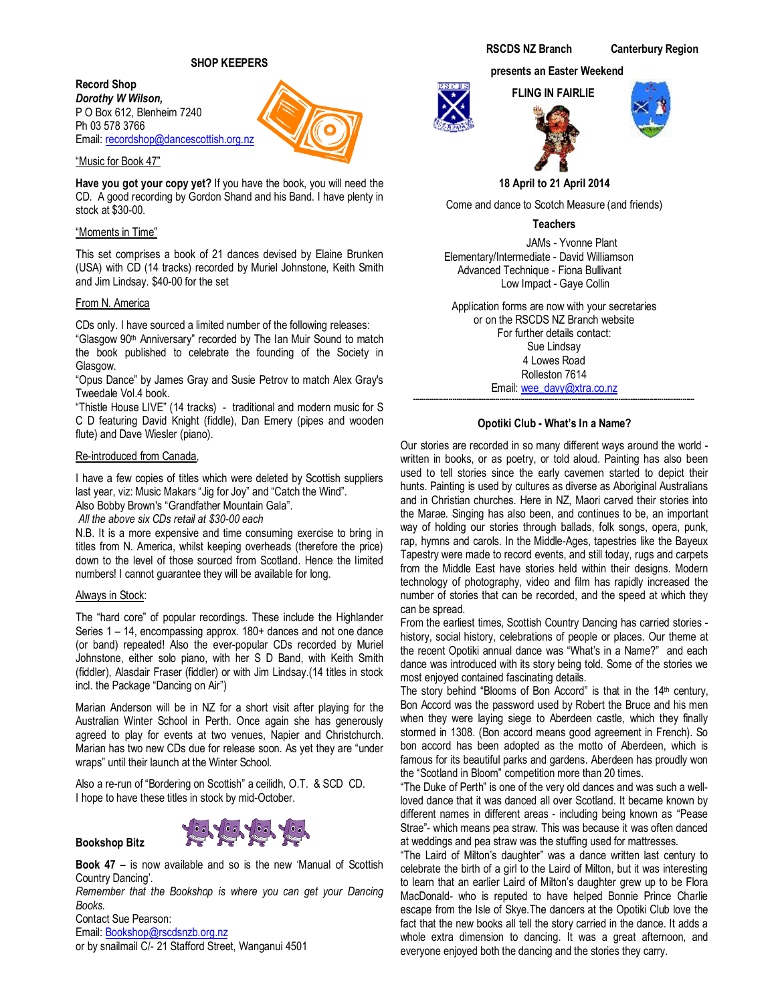**Record Shop**  *Dorothy W Wilson,*  P O Box 612, Blenheim 7240 Ph 03 578 3766 Email: recordshop@dancescottish.org.nz

# "Music for Book 47"

**Have you got your copy yet?** If you have the book, you will need the CD. A good recording by Gordon Shand and his Band. I have plenty in stock at \$30-00.

# "Moments in Time"

This set comprises a book of 21 dances devised by Elaine Brunken (USA) with CD (14 tracks) recorded by Muriel Johnstone, Keith Smith and Jim Lindsay. \$40-00 for the set

# From N. America

CDs only. I have sourced a limited number of the following releases:

"Glasgow 90th Anniversary" recorded by The Ian Muir Sound to match the book published to celebrate the founding of the Society in Glasgow.

"Opus Dance" by James Gray and Susie Petrov to match Alex Gray's Tweedale Vol.4 book.

"Thistle House LIVE" (14 tracks) - traditional and modern music for S C D featuring David Knight (fiddle), Dan Emery (pipes and wooden flute) and Dave Wiesler (piano).

# Re-introduced from Canada,

I have a few copies of titles which were deleted by Scottish suppliers last year, viz: Music Makars "Jig for Joy" and "Catch the Wind".

Also Bobby Brown's "Grandfather Mountain Gala".

 *All the above six CDs retail at \$30-00 each* 

N.B. It is a more expensive and time consuming exercise to bring in titles from N. America, whilst keeping overheads (therefore the price) down to the level of those sourced from Scotland. Hence the limited numbers! I cannot guarantee they will be available for long.

# Always in Stock:

**Bookshop Bitz** 

The "hard core" of popular recordings. These include the Highlander Series 1 – 14, encompassing approx. 180+ dances and not one dance (or band) repeated! Also the ever-popular CDs recorded by Muriel Johnstone, either solo piano, with her S D Band, with Keith Smith (fiddler), Alasdair Fraser (fiddler) or with Jim Lindsay.(14 titles in stock incl. the Package "Dancing on Air")

Marian Anderson will be in NZ for a short visit after playing for the Australian Winter School in Perth. Once again she has generously agreed to play for events at two venues, Napier and Christchurch. Marian has two new CDs due for release soon. As yet they are "under wraps" until their launch at the Winter School.

Also a re-run of "Bordering on Scottish" a ceilidh, O.T. & SCD CD. I hope to have these titles in stock by mid-October.



**Book 47** – is now available and so is the new 'Manual of Scottish Country Dancing'.

*Remember that the Bookshop is where you can get your Dancing Books.* 

Contact Sue Pearson: Email: Bookshop@rscdsnzb.org.nz or by snailmail C/- 21 Stafford Street, Wanganui 4501

### **presents an Easter Weekend**

 **FLING IN FAIRLIE** 



**18 April to 21 April 2014** 

Come and dance to Scotch Measure (and friends)

**Teachers** 

 JAMs - Yvonne Plant Elementary/Intermediate - David Williamson Advanced Technique - Fiona Bullivant Low Impact - Gaye Collin

Application forms are now with your secretaries or on the RSCDS NZ Branch website For further details contact: Sue Lindsay 4 Lowes Road Rolleston 7614 Email: wee\_davy@xtra.co.nz

# **Opotiki Club - What's In a Name?**

**------------------------------------------------------------------------------------------------------------------------------------------------** 

Our stories are recorded in so many different ways around the world written in books, or as poetry, or told aloud. Painting has also been used to tell stories since the early cavemen started to depict their hunts. Painting is used by cultures as diverse as Aboriginal Australians and in Christian churches. Here in NZ, Maori carved their stories into the Marae. Singing has also been, and continues to be, an important way of holding our stories through ballads, folk songs, opera, punk, rap, hymns and carols. In the Middle-Ages, tapestries like the Bayeux Tapestry were made to record events, and still today, rugs and carpets from the Middle East have stories held within their designs. Modern technology of photography, video and film has rapidly increased the number of stories that can be recorded, and the speed at which they can be spread.

From the earliest times, Scottish Country Dancing has carried stories history, social history, celebrations of people or places. Our theme at the recent Opotiki annual dance was "What's in a Name?" and each dance was introduced with its story being told. Some of the stories we most enjoyed contained fascinating details.

The story behind "Blooms of Bon Accord" is that in the 14th century, Bon Accord was the password used by Robert the Bruce and his men when they were laying siege to Aberdeen castle, which they finally stormed in 1308. (Bon accord means good agreement in French). So bon accord has been adopted as the motto of Aberdeen, which is famous for its beautiful parks and gardens. Aberdeen has proudly won the "Scotland in Bloom" competition more than 20 times.

"The Duke of Perth" is one of the very old dances and was such a wellloved dance that it was danced all over Scotland. It became known by different names in different areas - including being known as "Pease Strae"- which means pea straw. This was because it was often danced at weddings and pea straw was the stuffing used for mattresses.

"The Laird of Milton's daughter" was a dance written last century to celebrate the birth of a girl to the Laird of Milton, but it was interesting to learn that an earlier Laird of Milton's daughter grew up to be Flora MacDonald- who is reputed to have helped Bonnie Prince Charlie escape from the Isle of Skye.The dancers at the Opotiki Club love the fact that the new books all tell the story carried in the dance. It adds a whole extra dimension to dancing. It was a great afternoon, and everyone enjoyed both the dancing and the stories they carry.

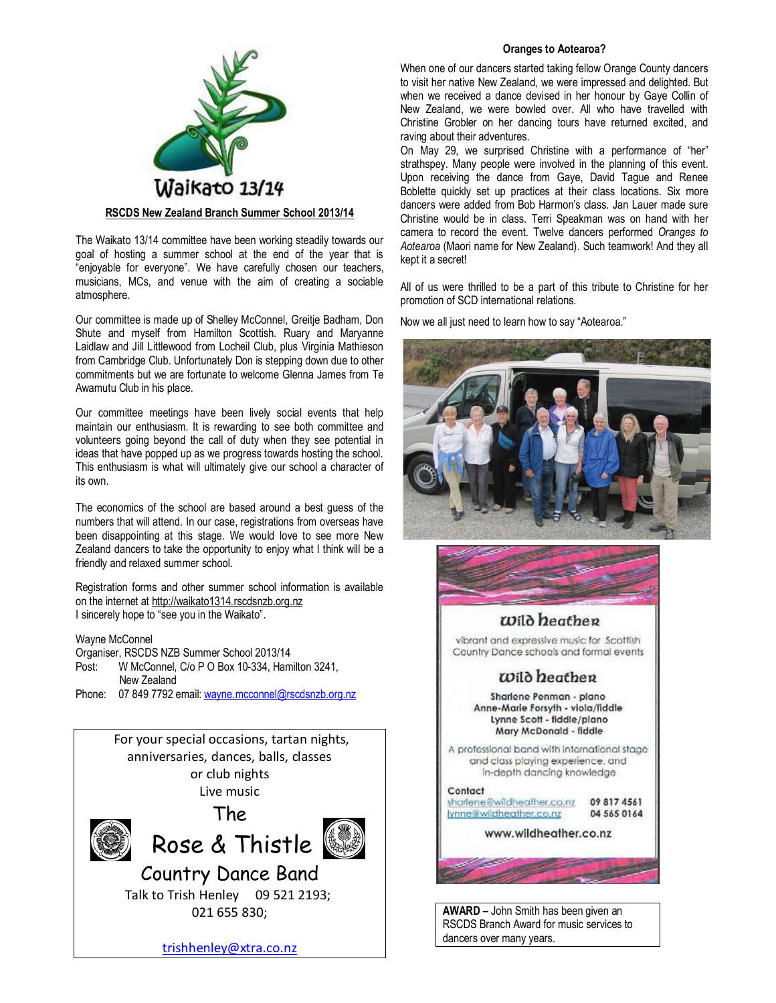

# **RSCDS New Zealand Branch Summer School 2013/14**

The Waikato 13/14 committee have been working steadily towards our goal of hosting a summer school at the end of the year that is "enjoyable for everyone". We have carefully chosen our teachers, musicians, MCs, and venue with the aim of creating a sociable atmosphere.

Our committee is made up of Shelley McConnel, Greitje Badham, Don Shute and myself from Hamilton Scottish. Ruary and Maryanne Laidlaw and Jill Littlewood from Locheil Club, plus Virginia Mathieson from Cambridge Club. Unfortunately Don is stepping down due to other commitments but we are fortunate to welcome Glenna James from Te Awamutu Club in his place.

Our committee meetings have been lively social events that help maintain our enthusiasm. It is rewarding to see both committee and volunteers going beyond the call of duty when they see potential in ideas that have popped up as we progress towards hosting the school. This enthusiasm is what will ultimately give our school a character of its own.

The economics of the school are based around a best guess of the numbers that will attend. In our case, registrations from overseas have been disappointing at this stage. We would love to see more New Zealand dancers to take the opportunity to enjoy what I think will be a friendly and relaxed summer school.

Registration forms and other summer school information is available on the internet at http://waikato1314.rscdsnzb.org.nz I sincerely hope to "see you in the Waikato".

Wayne McConnel

Organiser, RSCDS NZB Summer School 2013/14 Post: W McConnel, C/o P O Box 10-334, Hamilton 3241, New Zealand Phone: 07 849 7792 email: wayne.mcconnel@rscdsnzb.org.nz



021 655 830;

trishhenley@xtra.co.nz

# **Oranges to Aotearoa?**

When one of our dancers started taking fellow Orange County dancers to visit her native New Zealand, we were impressed and delighted. But when we received a dance devised in her honour by Gaye Collin of New Zealand, we were bowled over. All who have travelled with Christine Grobler on her dancing tours have returned excited, and raving about their adventures.

On May 29, we surprised Christine with a performance of "her" strathspey. Many people were involved in the planning of this event. Upon receiving the dance from Gaye, David Tague and Renee Boblette quickly set up practices at their class locations. Six more dancers were added from Bob Harmon's class. Jan Lauer made sure Christine would be in class. Terri Speakman was on hand with her camera to record the event. Twelve dancers performed *Oranges to Aotearoa* (Maori name for New Zealand). Such teamwork! And they all kept it a secret!

All of us were thrilled to be a part of this tribute to Christine for her promotion of SCD international relations.

Now we all just need to learn how to say "Aotearoa."





# Wild heathen

vibrant and expressive music for Scottish Country Dance schools and formal events

# $\omega$ ild beather

Sharlene Penman - plano Anne-Marie Forsyth - viola/fiddle Lynne Scott - fiddle/plano Mary McDonald - fiddle

A professional band with international stage and class playing experience, and in-depth dancing knowledge

#### Contact sharlene@wildheather.co.nz 09 817 4561

lynne@wildheather.co.nz 04 565 0164

# www.wildheather.co.nz

**AWARD –** John Smith has been given an RSCDS Branch Award for music services to

dancers over many years.